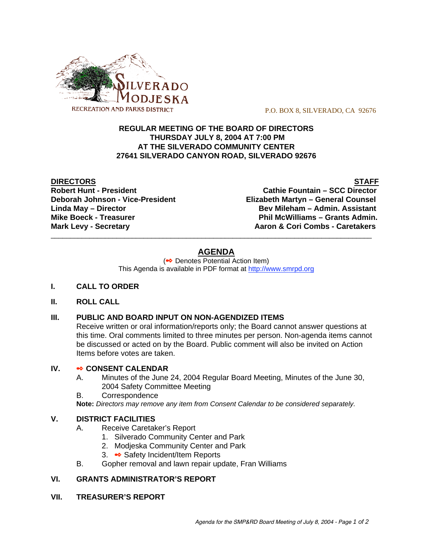

P.O. BOX 8, SILVERADO, CA 92676

## **REGULAR MEETING OF THE BOARD OF DIRECTORS THURSDAY JULY 8, 2004 AT 7:00 PM AT THE SILVERADO COMMUNITY CENTER 27641 SILVERADO CANYON ROAD, SILVERADO 92676**

**DIRECTORS** STAFF

**Robert Hunt - President Cathie Fountain – SCC Director Deborah Johnson - Vice-President Elizabeth Martyn – General Counsel Linda May – Director Bev Mileham – Admin. Assistant Mike Boeck - Treasurer Phil McWilliams – Grants Admin. Mark Levy - Secretary Combs - Caretakers** Aaron & Cori Combs - Caretakers

# **AGENDA**

\_\_\_\_\_\_\_\_\_\_\_\_\_\_\_\_\_\_\_\_\_\_\_\_\_\_\_\_\_\_\_\_\_\_\_\_\_\_\_\_\_\_\_\_\_\_\_\_\_\_\_\_\_\_\_\_\_\_\_\_\_\_\_\_\_\_\_\_\_\_\_\_\_\_\_\_\_\_\_\_\_\_\_

(<sup>●●</sup> Denotes Potential Action Item) This Agenda is available in PDF format at http://www.smrpd.org

- **I. CALL TO ORDER**
- **II. ROLL CALL**

# **III. PUBLIC AND BOARD INPUT ON NON-AGENDIZED ITEMS**

Receive written or oral information/reports only; the Board cannot answer questions at this time. Oral comments limited to three minutes per person. Non-agenda items cannot be discussed or acted on by the Board. Public comment will also be invited on Action Items before votes are taken.

## **IV. • CONSENT CALENDAR**

- A. Minutes of the June 24, 2004 Regular Board Meeting, Minutes of the June 30, 2004 Safety Committee Meeting
- B. Correspondence

**Note:** *Directors may remove any item from Consent Calendar to be considered separately.*

## **V. DISTRICT FACILITIES**

- A. Receive Caretaker's Report
	- 1. Silverado Community Center and Park
	- 2. Modjeska Community Center and Park
	- 3. Safety Incident/Item Reports
- B. Gopher removal and lawn repair update, Fran Williams

# **VI. GRANTS ADMINISTRATOR'S REPORT**

**VII. TREASURER'S REPORT**